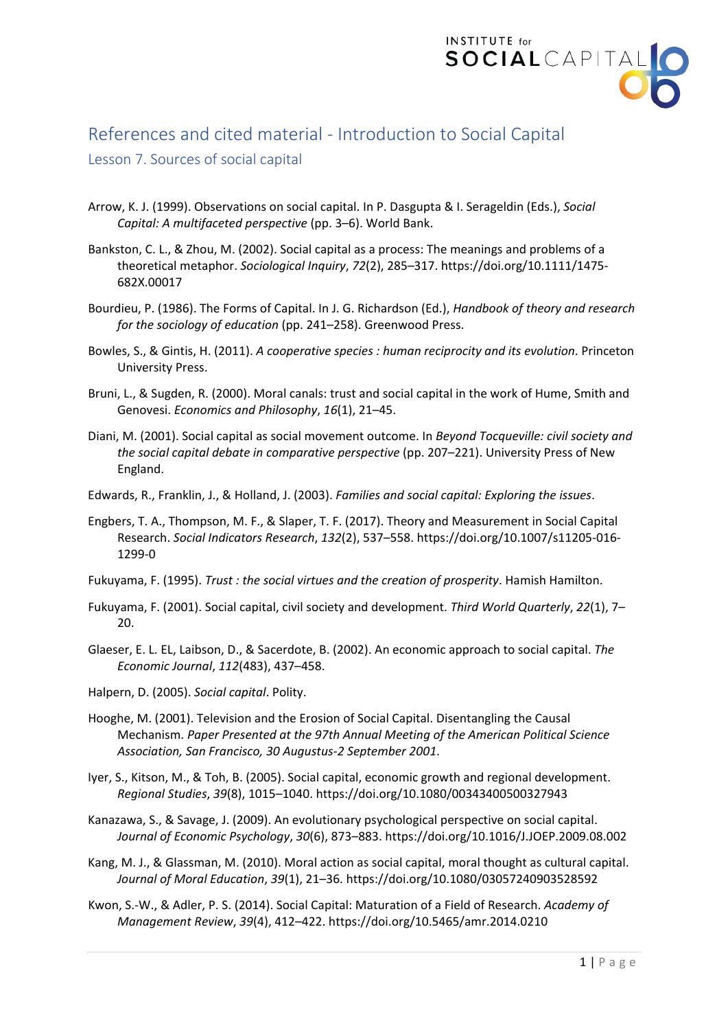

## References and cited material - Introduction to Social Capital

## Lesson 7. Sources of social capital

- Arrow, K. J. (1999). Observations on social capital. In P. Dasgupta & I. Serageldin (Eds.), *Social Capital: A multifaceted perspective* (pp. 3–6). World Bank.
- Bankston, C. L., & Zhou, M. (2002). Social capital as a process: The meanings and problems of a theoretical metaphor. *Sociological Inquiry*, *72*(2), 285–317. https://doi.org/10.1111/1475- 682X.00017
- Bourdieu, P. (1986). The Forms of Capital. In J. G. Richardson (Ed.), *Handbook of theory and research for the sociology of education* (pp. 241–258). Greenwood Press.
- Bowles, S., & Gintis, H. (2011). *A cooperative species : human reciprocity and its evolution*. Princeton University Press.
- Bruni, L., & Sugden, R. (2000). Moral canals: trust and social capital in the work of Hume, Smith and Genovesi. *Economics and Philosophy*, *16*(1), 21–45.
- Diani, M. (2001). Social capital as social movement outcome. In *Beyond Tocqueville: civil society and the social capital debate in comparative perspective* (pp. 207–221). University Press of New England.
- Edwards, R., Franklin, J., & Holland, J. (2003). *Families and social capital: Exploring the issues*.
- Engbers, T. A., Thompson, M. F., & Slaper, T. F. (2017). Theory and Measurement in Social Capital Research. *Social Indicators Research*, *132*(2), 537–558. https://doi.org/10.1007/s11205-016- 1299-0
- Fukuyama, F. (1995). *Trust : the social virtues and the creation of prosperity*. Hamish Hamilton.
- Fukuyama, F. (2001). Social capital, civil society and development. *Third World Quarterly*, *22*(1), 7– 20.
- Glaeser, E. L. EL, Laibson, D., & Sacerdote, B. (2002). An economic approach to social capital. *The Economic Journal*, *112*(483), 437–458.
- Halpern, D. (2005). *Social capital*. Polity.
- Hooghe, M. (2001). Television and the Erosion of Social Capital. Disentangling the Causal Mechanism. *Paper Presented at the 97th Annual Meeting of the American Political Science Association, San Francisco, 30 Augustus-2 September 2001*.
- Iyer, S., Kitson, M., & Toh, B. (2005). Social capital, economic growth and regional development. *Regional Studies*, *39*(8), 1015–1040. https://doi.org/10.1080/00343400500327943
- Kanazawa, S., & Savage, J. (2009). An evolutionary psychological perspective on social capital. *Journal of Economic Psychology*, *30*(6), 873–883. https://doi.org/10.1016/J.JOEP.2009.08.002
- Kang, M. J., & Glassman, M. (2010). Moral action as social capital, moral thought as cultural capital. *Journal of Moral Education*, *39*(1), 21–36. https://doi.org/10.1080/03057240903528592
- Kwon, S.-W., & Adler, P. S. (2014). Social Capital: Maturation of a Field of Research. *Academy of Management Review*, *39*(4), 412–422. https://doi.org/10.5465/amr.2014.0210